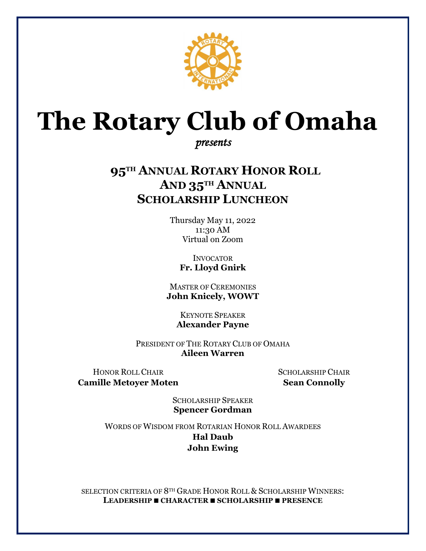

# **The Rotary Club of Omaha**

## *presents*

# **95TH ANNUAL ROTARY HONOR ROLL AND 35TH ANNUAL SCHOLARSHIP LUNCHEON**

Thursday May 11, 2022 11:30 AM Virtual on Zoom

> **INVOCATOR Fr. Lloyd Gnirk**

MASTER OF CEREMONIES **John Knicely, WOWT**

> KEYNOTE SPEAKER **Alexander Payne**

PRESIDENT OF THE ROTARY CLUB OF OMAHA **Aileen Warren**

HONOR ROLL CHAIR SCHOLARSHIP CHAIR **Camille Metoyer Moten Sean Connolly**

SCHOLARSHIP SPEAKER **Spencer Gordman**

WORDS OF WISDOM FROM ROTARIAN HONOR ROLL AWARDEES **Hal Daub John Ewing**

SELECTION CRITERIA OF 8TH GRADE HONOR ROLL & SCHOLARSHIP WINNERS: **LEADERSHIP CHARACTER SCHOLARSHIP PRESENCE**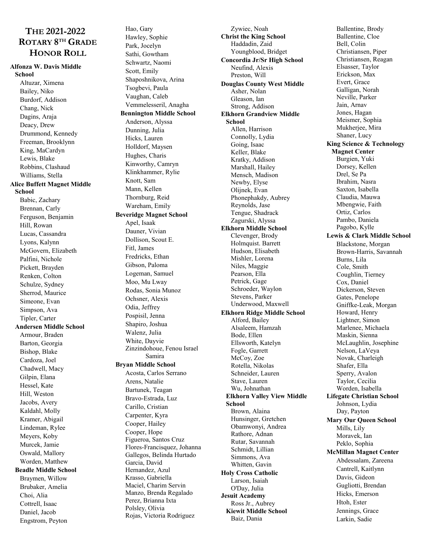### **THE 2021-2022 ROTARY 8TH GRADE HONOR ROLL**

#### **Alfonza W. Davis Middle**

**School** Altuzar, Ximena Bailey, Niko Burdorf, Addison Chang, Nick Dagins, Araja Deacy, Drew Drummond, Kennedy Freeman, Brooklynn King, MaCardyn Lewis, Blake Robbins, Clashaud Williams, Stella **Alice Buffett Magnet Middle School** Babic, Zachary Brennan, Carly Ferguson, Benjamin Hill, Rowan Lucas, Cassandra Lyons, Kalynn McGovern, Elizabeth Palfini, Nichole Pickett, Brayden Renken, Colton Schulze, Sydney Sherrod, Maurice Simeone, Evan Simpson, Ava Tipler, Carter **Andersen Middle School** Armour, Braden Barton, Georgia Bishop, Blake Cardoza, Joel Chadwell, Macy Gilpin, Elana Hessel, Kate Hill, Weston Jacobs, Avery Kaldahl, Molly Kramer, Abigail Lindeman, Rylee Meyers, Koby Murcek, Jamie Oswald, Mallory Worden, Matthew **Beadle Middle School** Braymen, Willow Brubaker, Amelia Choi, Alia Cottrell, Isaac Daniel, Jacob Engstrom, Peyton

Hao, Gary Hawley, Sophie Park, Jocelyn Sathi, Gowtham Schwartz, Naomi Scott, Emily Shaposhnikova, Arina Tsogbevi, Paula Vaughan, Caleb Vemmelesseril, Anagha **Bennington Middle School** Anderson, Alyssa Dunning, Julia Hicks, Lauren Holldorf, Maysen Hughes, Charis Kinworthy, Camryn Klinkhammer, Rylie Knott, Sam Mann, Kellen Thornburg, Reid Wareham, Emily **Beveridge Magnet School** Apel, Isaak Dauner, Vivian Dollison, Scout E. Fitl, James Fredricks, Ethan Gibson, Paloma Logeman, Samuel Moo, Mu Lway Rodas, Sonia Munoz Ochsner, Alexis Odia, Jeffrey Pospisil, Jenna Shapiro, Joshua Walenz, Julia White, Dayvie Zinzindohoue, Fenou Israel Samira **Bryan Middle School** Acosta, Carlos Serrano Arens, Natalie Bartunek, Teagan Bravo-Estrada, Luz Carillo, Cristian Carpenter, Kyra Cooper, Hailey Cooper, Hope Figueroa, Santos Cruz Flores-Francisquez, Johanna Gallegos, Belinda Hurtado Garcia, David Hernandez, Azul Krasso, Gabriella Maciel, Charim Servin Manzo, Brenda Regalado Perez, Brianna Ixta Polsley, Olivia Rojas, Victoria Rodriguez

Zywiec, Noah **Christ the King School** Haddadin, Zaid Youngblood, Bridget **Concordia Jr/Sr High School** Neufind, Alexis Preston, Will **Douglas County West Middle** Asher, Nolan Gleason, Ian Strong, Addison **Elkhorn Grandview Middle School** Allen, Harrison Connolly, Lydia Going, Isaac Keller, Blake Kratky, Addison Marshall, Hailey Mensch, Madison Newby, Elyse Olijnek, Evan Phonephakdy, Aubrey Reynolds, Jase Tengue, Shadrack Zagurski, Alyssa **Elkhorn Middle School** Clevenger, Brody Holmquist. Barrett Hudson, Elisabeth Mishler, Lorena Niles, Maggie Pearson, Ella Petrick, Gage Schroeder, Waylon Stevens, Parker Underwood, Maxwell **Elkhorn Ridge Middle School** Alford, Bailey Alsaleem, Hamzah Bode, Ellen Ellsworth, Katelyn Fogle, Garrett McCoy, Zoe Rotella, Nikolas Schneider, Lauren Stave, Lauren Wu, Johnathan **Elkhorn Valley View Middle School** Brown, Alaina Hunsinger, Gretchen Obamwonyi, Andrea Rathore, Adnan Rutar, Savannah Schmidt, Lillian Simmons, Ava Whitten, Gavin **Holy Cross Catholic** Larson, Isaiah O'Day, Julia **Jesuit Academy** Ross Jr., Aubrey **Kiewit Middle School** Baiz, Dania

Ballentine, Brody Ballentine, Cloe Bell, Colin Christiansen, Piper Christiansen, Reagan Elsasser, Taylor Erickson, Max Evert, Grace Galligan, Norah Neville, Parker Jain, Arnav Jones, Hagan Meismer, Sophia Mukherjee, Mira Shaner, Lucy **King Science & Technology Magnet Center** Burgien, Yuki Dorsey, Kellen Drel, Se Pa Ibrahim, Nasra Saxton, Isabella Claudia, Mauwa Mbengwie, Faith Ortiz, Carlos Pambo, Daniela Pagobo, Kylle **Lewis & Clark Middle School** Blackstone, Morgan Brown-Harris, Savannah Burns, Lila Cole, Smith Coughlin, Tierney Cox, Daniel Dickerson, Steven Gates, Penelope Gniffke-Leak, Morgan Howard, Henry Lightner, Simon Marlenee, Michaela Maskin, Sienna McLaughlin, Josephine Nelson, LaVeya Novak, Charleigh Shafer, Ella Sperry, Avalon Taylor, Cecilia Worden, Isabella **Lifegate Christian School** Johnson, Lydia Day, Payton **Mary Our Queen School** Mills, Lily Moravek, Ian Peklo, Sophia **McMillan Magnet Center** Abdessalam, Zareena Cantrell, Kaitlynn Davis, Gideon Gugliotti, Brendan Hicks, Emerson Htoh, Ester Jennings, Grace Larkin, Sadie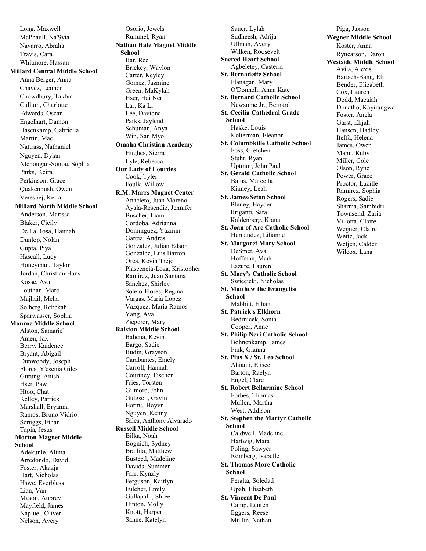Long, Maxwell McPhaull, Na'Syia Navarro, Abraha Travis, Cara Whitmore, Hassan **Millard Central Middle School** Anna Berger, Anna Chavez, Leonor Chowdhury, Takbir Cullum, Charlotte Edwards, Oscar Engelhart, Damon Hasenkamp, Gabriella Martin, Mae Nattrass, Nathaniel Nguyen, Dylan Ntchougan-Sonou, Sophia Parks, Keira Perkinson, Grace Quakenbush, Owen Verespej, Keira **Millard North Middle School** Anderson, Marissa Blaker, Cicily De La Rosa, Hannah Dunlop, Nolan Gupta, Piya Hascall, Lucy Honeyman, Taylor Jordan, Christian Hans Kosse, Ava Louthan, Marc Majhail, Meha Solberg, Rebekah Sparwasser, Sophia **Monroe Middle School** Alston, Samarie' Amen, Jax Berry, Kaidence Bryant, Abigail Dunwoody, Joseph Flores, Y'esenia Giles Gurung, Anish Hser, Paw Htoo, Chat Kelley, Patrick Marshall, Eryanna Ramos, Bruno Vidrio Scruggs, Ethan Tapia, Jesus **Morton Magnet Middle School** Adekunle, Alima Arredondo, David Foster, Akazja Hart, Nicholas Hswe, Everbless Lian, Van Mason, Aubrey Mayfield, James Napluel, Oliver

Nelson, Avery

Osorio, Jewels Rummel, Ryan **Nathan Hale Magnet Middle School** Bar, Ree Brickey, Waylon Carter, Keyley Gomez, Jazmine Green, MaKylah Hser, Hai Ner Lar, Ka Li Lee, Daviona Parks, Jaylend Schuman, Anya Win, San Myo **Omaha Christian Academy** Hughes, Sierra Lyle, Rebecca **Our Lady of Lourdes** Cook, Tyler Foulk, Willow **R.M. Marrs Magnet Center** Anacleto, Juan Moreno Ayala-Resendiz, Jennifer Buscher, Liam Cordoba, Adrianna Dominguez, Yazmin Garcia, Andres Gonzalez, Julian Edson Gonzalez, Luis Barron Orea, Kevin Trejo Plascencia-Loza, Kristopher Ramirez, Juan Santana Sanchez, Shirley Sotelo-Flores, Regina Vargas, Maria Lopez Vazquez, Maria Ramos Yang, Ava Ziegerer, Mary **Ralston Middle School** Bahena, Kevin Bargo, Sadie Budin, Grayson Carabantes, Emely Carroll, Hannah Courtney, Fischer Fries, Torsten Gilmore, John Gutgsell, Gavin Harms, Hayvn Nguyen, Kenny Sales, Anthony Alvarado **Russell Middle School** Bilka, Noah Bognich, Sydney Brailita, Matthew Busteed, Madeline Davids, Summer Farr, Kynzly Ferguson, Kaitlyn Fulcher, Emily Gullapalli, Shree Hinton, Molly Knott, Harper Sanne, Katelyn

Sauer, Lylah Sudheesh, Adrija Ullman, Avery Wilken, Roosevelt **Sacred Heart School** Agbeletey, Casteria **St. Bernadette School** Flanagan, Mary O'Donnell, Anna Kate **St. Bernard Catholic School** Newsome Jr., Bernard **St. Cecilia Cathedral Grade School** Haske, Louis Kolterman, Eleanor **St. Columbkille Catholic School** Foss, Gretchen Stuhr, Ryan Uptmor, John Paul **St. Gerald Catholic School** Balus, Marcella Kinney, Leah **St. James/Seton School** Blaney, Hayden Briganti, Sara Kaldenberg, Kiana **St. Joan of Arc Catholic School** Hernandez, Lilianne **St. Margaret Mary School** DeSmet, Ava Hoffman, Mark Lazure, Lauren **St. Mary's Catholic School** Swiecicki, Nicholas **St. Matthew the Evangelist School** Mabbitt, Ethan **St. Patrick's Elkhorn** Bedrnicek, Sonia Cooper, Anne **St. Philip Neri Catholic School** Bohnenkamp, James Fink, Gianna **St. Pius X / St. Leo School** Ahianti, Elisee Barton, Raelyn Engel, Clare **St. Robert Bellarmine School** Forbes, Thomas Mullen, Martha West, Addison **St. Stephen the Martyr Catholic School** Caldwell, Madeline Hartwig, Mara Poling, Sawyer Romberg, Isabelle **St. Thomas More Catholic School** Peralta, Soledad Upah, Elisabeth **St. Vincent De Paul** Camp, Lauren Eggers, Reese Mullin, Nathan

Pigg, Jaxson **Wegner Middle School** Koster, Anna Rynearson, Daron **Westside Middle School** Avila, Alexis Bartsch-Bang, Eli Bender, Elizabeth Cox, Lauren Dodd, Macaiah Donatho, Kayirangwa Foster, Anela Garst, Elijah Hansen, Hadley Iteffa, Helena James, Owen Mann, Ruby Miller, Cole Olson, Ryne Power, Grace Proctor, Lucille Ramirez, Sophia Rogers, Sadie Sharma, Sambidri Townsend. Zaria Villotta, Claire Wegner, Claire Weitz, Jack Wetjen, Calder Wilcox, Lana